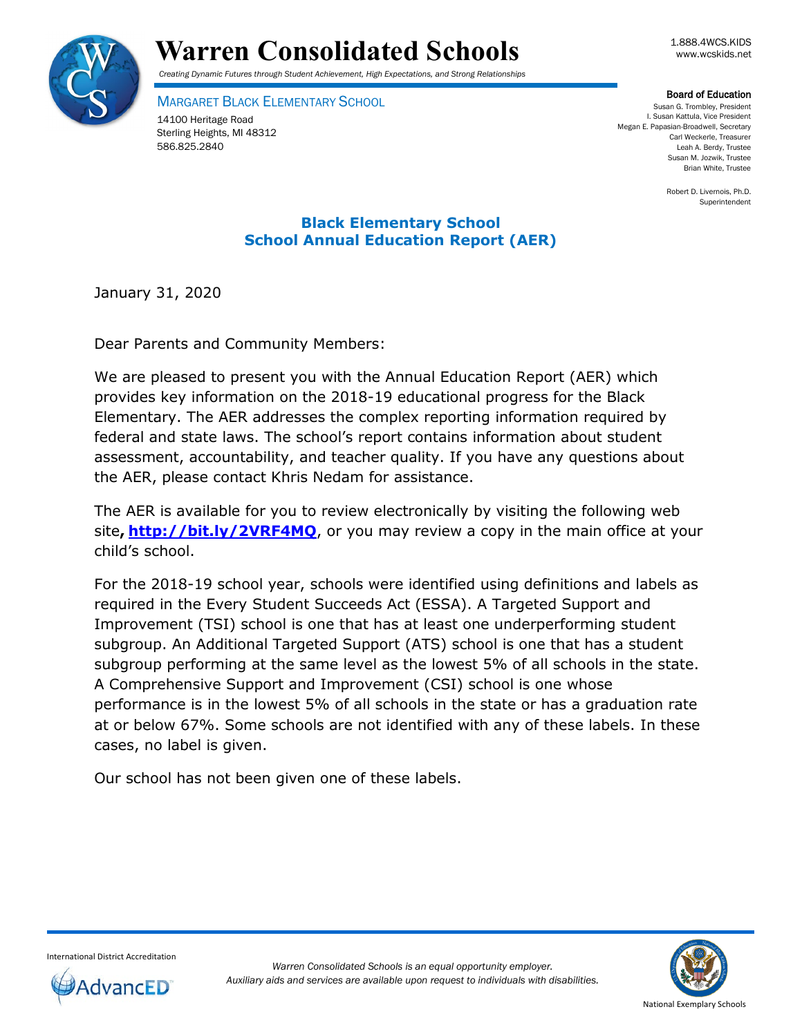

# Warren Consolidated Schools **Warren** Consolidated Schools

*Creating Dynamic Futures through Student Achievement, High Expectations, and Strong Relationships*

MARGARET BLACK ELEMENTARY SCHOOL

14100 Heritage Road Sterling Heights, MI 48312 586.825.2840

**Board of Education**<br>Susan G. Trombley, President I. Susan Kattula, Vice President Megan E. Papasian-Broadwell, Secretary Carl Weckerle, Treasurer Leah A. Berdy, Trustee Susan M. Jozwik, Trustee Brian White, Trustee

Robert D. Livernois, Ph.D. Superintendent

## **Black Elementary School School Annual Education Report (AER)**

January 31, 2020

Dear Parents and Community Members:

We are pleased to present you with the Annual Education Report (AER) which provides key information on the 2018-19 educational progress for the Black Elementary. The AER addresses the complex reporting information required by federal and state laws. The school's report contains information about student assessment, accountability, and teacher quality. If you have any questions about the AER, please contact Khris Nedam for assistance.

The AER is available for you to review electronically by visiting the following web site**, <http://bit.ly/2VRF4MQ>**, or you may review a copy in the main office at your child's school.

For the 2018-19 school year, schools were identified using definitions and labels as required in the Every Student Succeeds Act (ESSA). A Targeted Support and Improvement (TSI) school is one that has at least one underperforming student subgroup. An Additional Targeted Support (ATS) school is one that has a student subgroup performing at the same level as the lowest 5% of all schools in the state. A Comprehensive Support and Improvement (CSI) school is one whose performance is in the lowest 5% of all schools in the state or has a graduation rate at or below 67%. Some schools are not identified with any of these labels. In these cases, no label is given.

Our school has not been given one of these labels.



International District Accreditation dvancED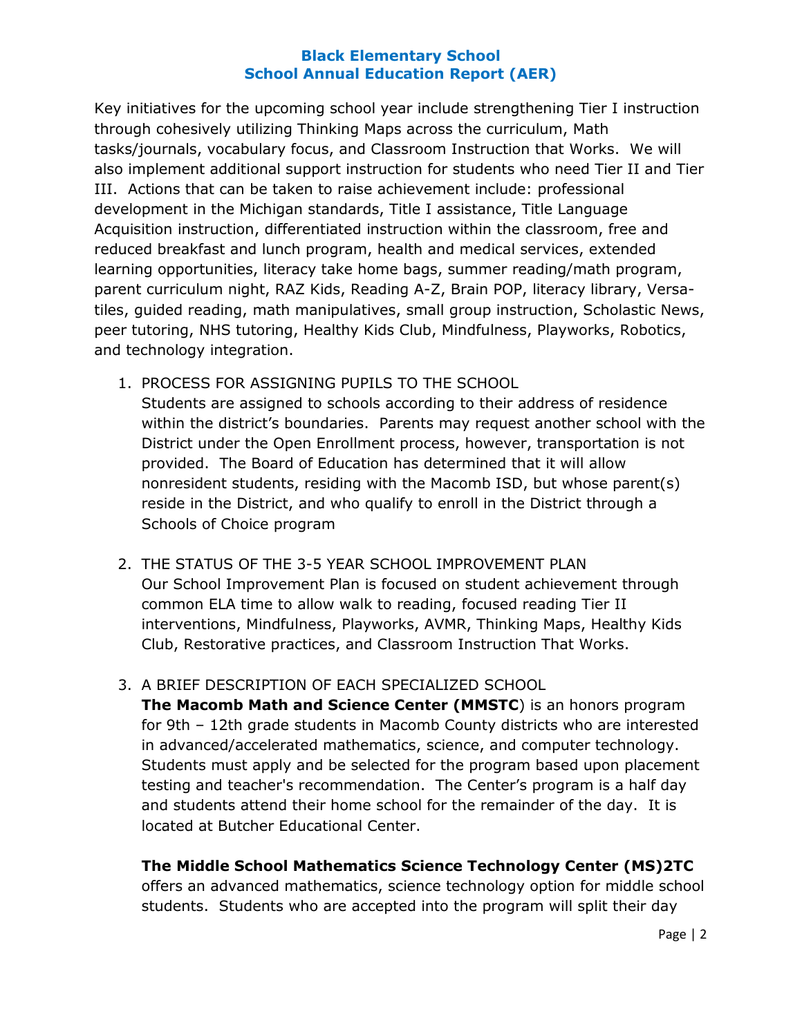Key initiatives for the upcoming school year include strengthening Tier I instruction through cohesively utilizing Thinking Maps across the curriculum, Math tasks/journals, vocabulary focus, and Classroom Instruction that Works. We will also implement additional support instruction for students who need Tier II and Tier III. Actions that can be taken to raise achievement include: professional development in the Michigan standards, Title I assistance, Title Language Acquisition instruction, differentiated instruction within the classroom, free and reduced breakfast and lunch program, health and medical services, extended learning opportunities, literacy take home bags, summer reading/math program, parent curriculum night, RAZ Kids, Reading A-Z, Brain POP, literacy library, Versatiles, guided reading, math manipulatives, small group instruction, Scholastic News, peer tutoring, NHS tutoring, Healthy Kids Club, Mindfulness, Playworks, Robotics, and technology integration.

- 1. PROCESS FOR ASSIGNING PUPILS TO THE SCHOOL Students are assigned to schools according to their address of residence within the district's boundaries. Parents may request another school with the District under the Open Enrollment process, however, transportation is not provided. The Board of Education has determined that it will allow nonresident students, residing with the Macomb ISD, but whose parent(s) reside in the District, and who qualify to enroll in the District through a Schools of Choice program
- 2. THE STATUS OF THE 3-5 YEAR SCHOOL IMPROVEMENT PLAN Our School Improvement Plan is focused on student achievement through common ELA time to allow walk to reading, focused reading Tier II interventions, Mindfulness, Playworks, AVMR, Thinking Maps, Healthy Kids Club, Restorative practices, and Classroom Instruction That Works.
- 3. A BRIEF DESCRIPTION OF EACH SPECIALIZED SCHOOL

**The Macomb Math and Science Center (MMSTC**) is an honors program for 9th – 12th grade students in Macomb County districts who are interested in advanced/accelerated mathematics, science, and computer technology. Students must apply and be selected for the program based upon placement testing and teacher's recommendation. The Center's program is a half day and students attend their home school for the remainder of the day. It is located at Butcher Educational Center.

## **The Middle School Mathematics Science Technology Center (MS)2TC**

offers an advanced mathematics, science technology option for middle school students. Students who are accepted into the program will split their day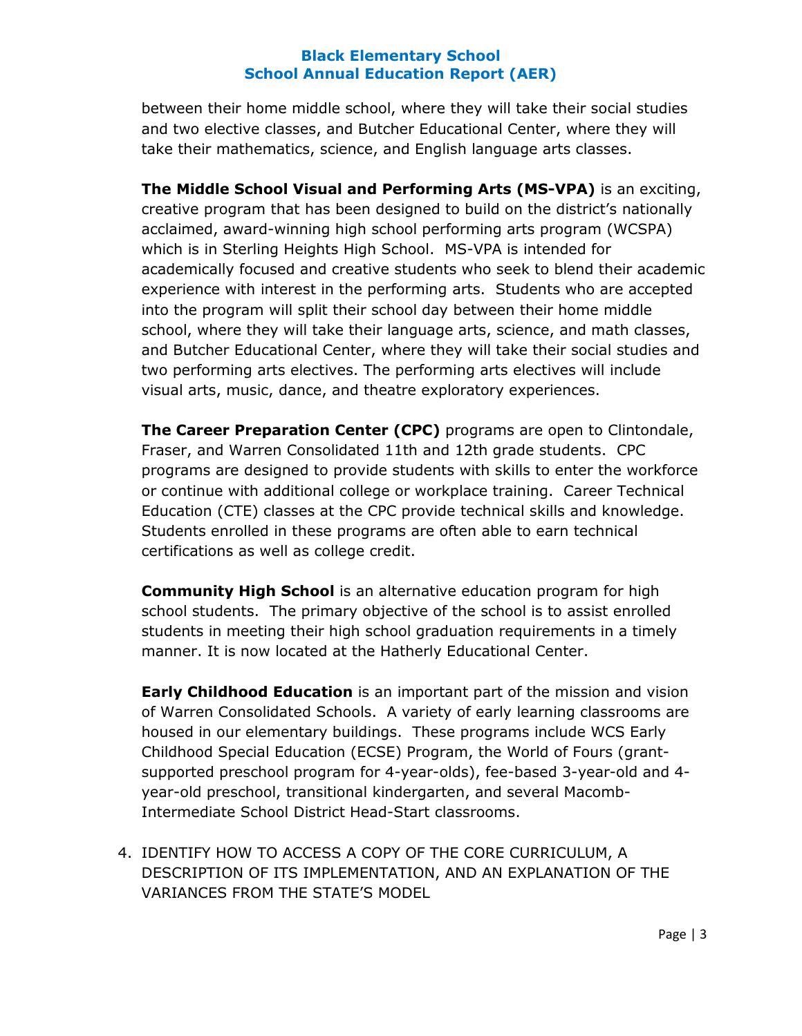between their home middle school, where they will take their social studies and two elective classes, and Butcher Educational Center, where they will take their mathematics, science, and English language arts classes.

**The Middle School Visual and Performing Arts (MS-VPA)** is an exciting, creative program that has been designed to build on the district's nationally acclaimed, award-winning high school performing arts program (WCSPA) which is in Sterling Heights High School. MS-VPA is intended for academically focused and creative students who seek to blend their academic experience with interest in the performing arts. Students who are accepted into the program will split their school day between their home middle school, where they will take their language arts, science, and math classes, and Butcher Educational Center, where they will take their social studies and two performing arts electives. The performing arts electives will include visual arts, music, dance, and theatre exploratory experiences.

**The Career Preparation Center (CPC)** programs are open to Clintondale, Fraser, and Warren Consolidated 11th and 12th grade students. CPC programs are designed to provide students with skills to enter the workforce or continue with additional college or workplace training. Career Technical Education (CTE) classes at the CPC provide technical skills and knowledge. Students enrolled in these programs are often able to earn technical certifications as well as college credit.

**Community High School** is an alternative education program for high school students. The primary objective of the school is to assist enrolled students in meeting their high school graduation requirements in a timely manner. It is now located at the Hatherly Educational Center.

**Early Childhood Education** is an important part of the mission and vision of Warren Consolidated Schools. A variety of early learning classrooms are housed in our elementary buildings. These programs include WCS Early Childhood Special Education (ECSE) Program, the World of Fours (grantsupported preschool program for 4-year-olds), fee-based 3-year-old and 4 year-old preschool, transitional kindergarten, and several Macomb-Intermediate School District Head-Start classrooms.

4. IDENTIFY HOW TO ACCESS A COPY OF THE CORE CURRICULUM, A DESCRIPTION OF ITS IMPLEMENTATION, AND AN EXPLANATION OF THE VARIANCES FROM THE STATE'S MODEL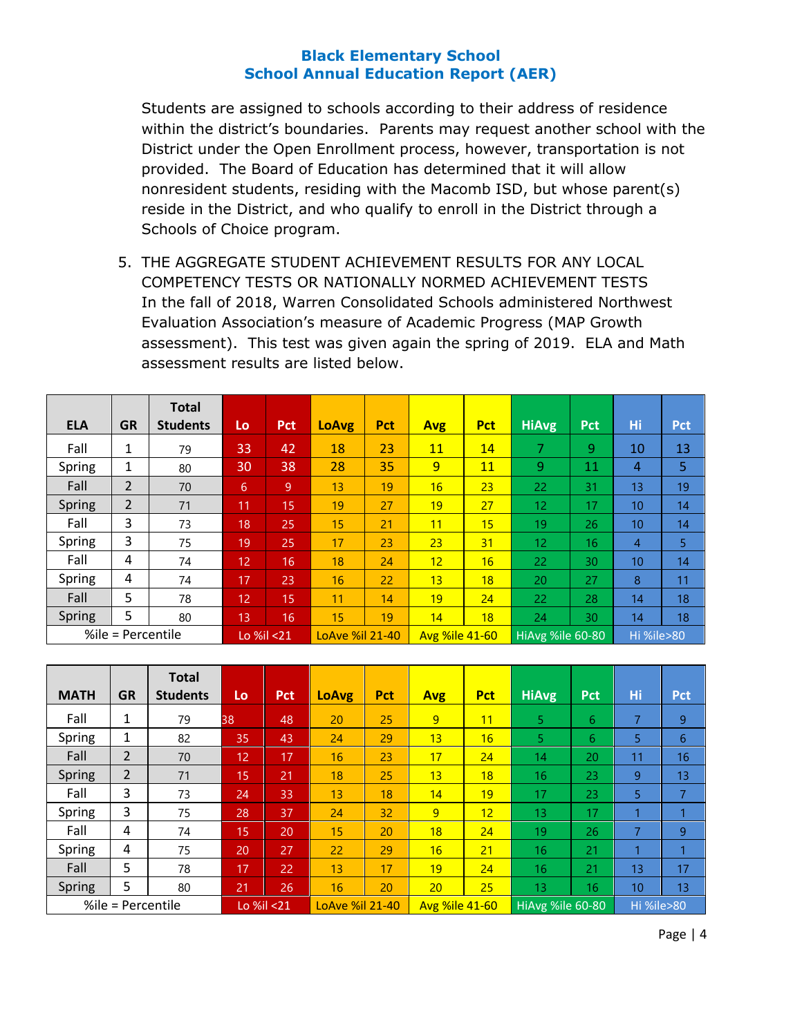Students are assigned to schools according to their address of residence within the district's boundaries. Parents may request another school with the District under the Open Enrollment process, however, transportation is not provided. The Board of Education has determined that it will allow nonresident students, residing with the Macomb ISD, but whose parent(s) reside in the District, and who qualify to enroll in the District through a Schools of Choice program.

5. THE AGGREGATE STUDENT ACHIEVEMENT RESULTS FOR ANY LOCAL COMPETENCY TESTS OR NATIONALLY NORMED ACHIEVEMENT TESTS In the fall of 2018, Warren Consolidated Schools administered Northwest Evaluation Association's measure of Academic Progress (MAP Growth assessment). This test was given again the spring of 2019. ELA and Math assessment results are listed below.

|                   |                | <b>Total</b>    |    |                 |                 |                       |            |                  |              |            |                  |            |
|-------------------|----------------|-----------------|----|-----------------|-----------------|-----------------------|------------|------------------|--------------|------------|------------------|------------|
| <b>ELA</b>        | <b>GR</b>      | <b>Students</b> | Lo | <b>Pct</b>      | <b>LoAvg</b>    | <b>Pct</b>            | <b>Avg</b> | <b>Pct</b>       | <b>HiAvg</b> | <b>Pct</b> | Hi               | <b>Pct</b> |
| Fall              | 1              | 79              | 33 | 42              | 18              | 23                    | 11         | 14               | 7            | 9          | 10               | 13         |
| Spring            | 1              | 80              | 30 | 38              | 28              | 35                    | 9          | <b>11</b>        | 9            | 11         | $\overline{4}$   | 5          |
| Fall              | $\overline{2}$ | 70              | 6  | 9               | 13              | 19                    | 16         | 23               | 22           | 31         | 13 <sup>°</sup>  | 19         |
| <b>Spring</b>     | $\overline{2}$ | 71              | 11 | 15              | 19              | 27                    | 19         | 27               | 12.          | 17         | 10 <sup>10</sup> | 14         |
| Fall              | 3              | 73              | 18 | 25              | 15              | 21                    | 11         | 15               | 19           | 26         | 10 <sup>10</sup> | 14         |
| Spring            | 3              | 75              | 19 | 25              | 17              | 23                    | 23         | 31               | 12           | 16         | $\overline{4}$   | 5          |
| Fall              | 4              | 74              | 12 | 16              | 18              | 24                    | 12         | 16               | 22           | 30         | 10 <sup>10</sup> | 14         |
| Spring            | 4              | 74              | 17 | 23              | 16              | 22                    | 13         | 18               | 20           | 27         | 8                | 11         |
| Fall              | 5              | 78              | 12 | 15              | $\overline{11}$ | 14                    | 19         | 24               | 22           | 28         | 14               | 18         |
| Spring            | 5              | 80              | 13 | 16              | 15              | 19                    | 14         | 18               | 24           | 30         | 14               | 18         |
| %ile = Percentile |                | Lo %il <21      |    | LoAve %il 21-40 |                 | <b>Avg %ile 41-60</b> |            | HiAvg %ile 60-80 |              | Hi %ile>80 |                  |            |

| <b>MATH</b>       | <b>GR</b>      | <b>Total</b><br><b>Students</b> | Lo | <b>Pct</b>      | <b>LoAvg</b> | <b>Pct</b>            | <b>Avg</b> | <b>Pct</b>       | <b>HiAvg</b> | <b>Pct</b> | Hi | <b>Pct</b> |
|-------------------|----------------|---------------------------------|----|-----------------|--------------|-----------------------|------------|------------------|--------------|------------|----|------------|
| Fall              | 1              | 79                              | 38 | 48              | 20           | 25                    | 9          | 11               | 5.           | 6          | 7  | 9          |
| Spring            | 1              | 82                              | 35 | 43              | 24           | 29                    | 13         | 16               | 5.           | 6          | 5  | 6          |
| Fall              | $\overline{2}$ | 70                              | 12 | 17              | 16           | 23                    | 17         | 24               | 14           | 20         | 11 | 16         |
| <b>Spring</b>     | $\overline{2}$ | 71                              | 15 | 21              | 18           | 25                    | 13         | 18               | 16           | 23         | 9  | 13         |
| Fall              | 3              | 73                              | 24 | 33              | 13           | 18                    | 14         | 19               | 17           | 23         | 5. | 7          |
| Spring            | 3              | 75                              | 28 | 37              | 24           | 32                    | 9          | 12               | 13           | 17         | и  | 1          |
| Fall              | 4              | 74                              | 15 | 20              | 15           | 20                    | 18         | 24               | 19           | 26         | 7  | 9          |
| Spring            | 4              | 75                              | 20 | 27              | 22           | 29                    | 16         | 21               | 16           | 21         |    | 1          |
| Fall              | 5              | 78                              | 17 | 22              | 13           | 17                    | 19         | 24               | 16           | 21         | 13 | 17         |
| Spring            | 5              | 80                              | 21 | 26              | 16           | 20                    | 20         | 25               | 13           | 16         | 10 | 13         |
| %ile = Percentile |                | Lo %il <21                      |    | LoAve %il 21-40 |              | <b>Avg %ile 41-60</b> |            | HiAvg %ile 60-80 |              | Hi %ile>80 |    |            |